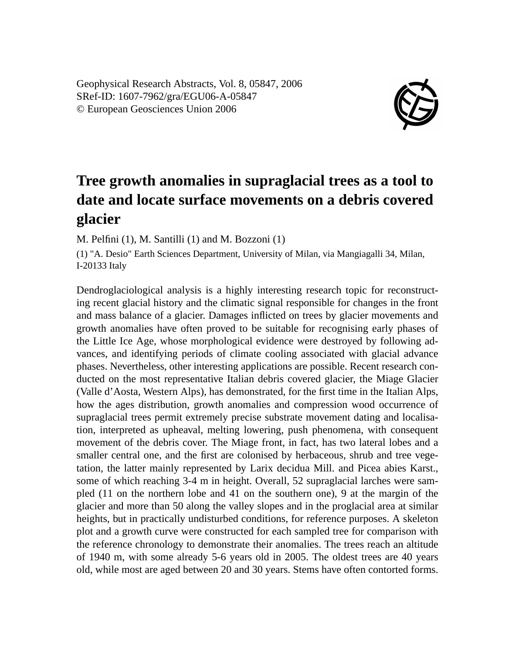Geophysical Research Abstracts, Vol. 8, 05847, 2006 SRef-ID: 1607-7962/gra/EGU06-A-05847 © European Geosciences Union 2006



## **Tree growth anomalies in supraglacial trees as a tool to date and locate surface movements on a debris covered glacier**

M. Pelfini (1), M. Santilli (1) and M. Bozzoni (1)

(1) "A. Desio" Earth Sciences Department, University of Milan, via Mangiagalli 34, Milan, I-20133 Italy

Dendroglaciological analysis is a highly interesting research topic for reconstructing recent glacial history and the climatic signal responsible for changes in the front and mass balance of a glacier. Damages inflicted on trees by glacier movements and growth anomalies have often proved to be suitable for recognising early phases of the Little Ice Age, whose morphological evidence were destroyed by following advances, and identifying periods of climate cooling associated with glacial advance phases. Nevertheless, other interesting applications are possible. Recent research conducted on the most representative Italian debris covered glacier, the Miage Glacier (Valle d'Aosta, Western Alps), has demonstrated, for the first time in the Italian Alps, how the ages distribution, growth anomalies and compression wood occurrence of supraglacial trees permit extremely precise substrate movement dating and localisation, interpreted as upheaval, melting lowering, push phenomena, with consequent movement of the debris cover. The Miage front, in fact, has two lateral lobes and a smaller central one, and the first are colonised by herbaceous, shrub and tree vegetation, the latter mainly represented by Larix decidua Mill. and Picea abies Karst., some of which reaching 3-4 m in height. Overall, 52 supraglacial larches were sampled (11 on the northern lobe and 41 on the southern one), 9 at the margin of the glacier and more than 50 along the valley slopes and in the proglacial area at similar heights, but in practically undisturbed conditions, for reference purposes. A skeleton plot and a growth curve were constructed for each sampled tree for comparison with the reference chronology to demonstrate their anomalies. The trees reach an altitude of 1940 m, with some already 5-6 years old in 2005. The oldest trees are 40 years old, while most are aged between 20 and 30 years. Stems have often contorted forms.